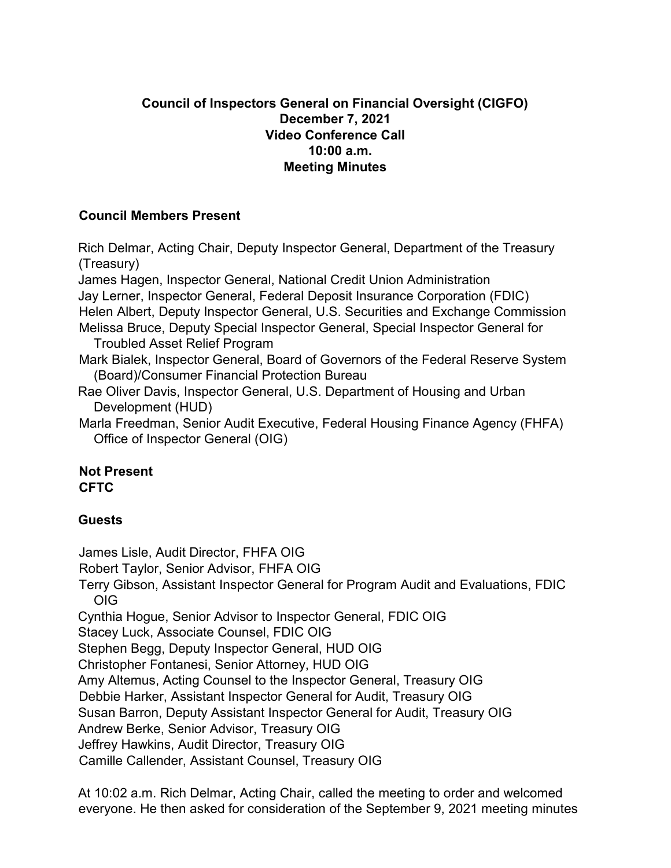## **Council of Inspectors General on Financial Oversight (CIGFO) December 7, 2021 Video Conference Call 10:00 a.m. Meeting Minutes**

## **Council Members Present**

Rich Delmar, Acting Chair, Deputy Inspector General, Department of the Treasury (Treasury) James Hagen, Inspector General, National Credit Union Administration Jay Lerner, Inspector General, Federal Deposit Insurance Corporation (FDIC) Helen Albert, Deputy Inspector General, U.S. Securities and Exchange Commission Melissa Bruce, Deputy Special Inspector General, Special Inspector General for Troubled Asset Relief Program Mark Bialek, Inspector General, Board of Governors of the Federal Reserve System (Board)/Consumer Financial Protection Bureau Rae Oliver Davis, Inspector General, U.S. Department of Housing and Urban Development (HUD) Marla Freedman, Senior Audit Executive, Federal Housing Finance Agency (FHFA) Office of Inspector General (OIG)

## **Not Present CFTC**

## **Guests**

James Lisle, Audit Director, FHFA OIG

Robert Taylor, Senior Advisor, FHFA OIG

Terry Gibson, Assistant Inspector General for Program Audit and Evaluations, FDIC OIG

Cynthia Hogue, Senior Advisor to Inspector General, FDIC OIG

Stacey Luck, Associate Counsel, FDIC OIG

Stephen Begg, Deputy Inspector General, HUD OIG

Christopher Fontanesi, Senior Attorney, HUD OIG

Amy Altemus, Acting Counsel to the Inspector General, Treasury OIG

Debbie Harker, Assistant Inspector General for Audit, Treasury OIG

Susan Barron, Deputy Assistant Inspector General for Audit, Treasury OIG

Andrew Berke, Senior Advisor, Treasury OIG

Jeffrey Hawkins, Audit Director, Treasury OIG

Camille Callender, Assistant Counsel, Treasury OIG

At 10:02 a.m. Rich Delmar, Acting Chair, called the meeting to order and welcomed everyone. He then asked for consideration of the September 9, 2021 meeting minutes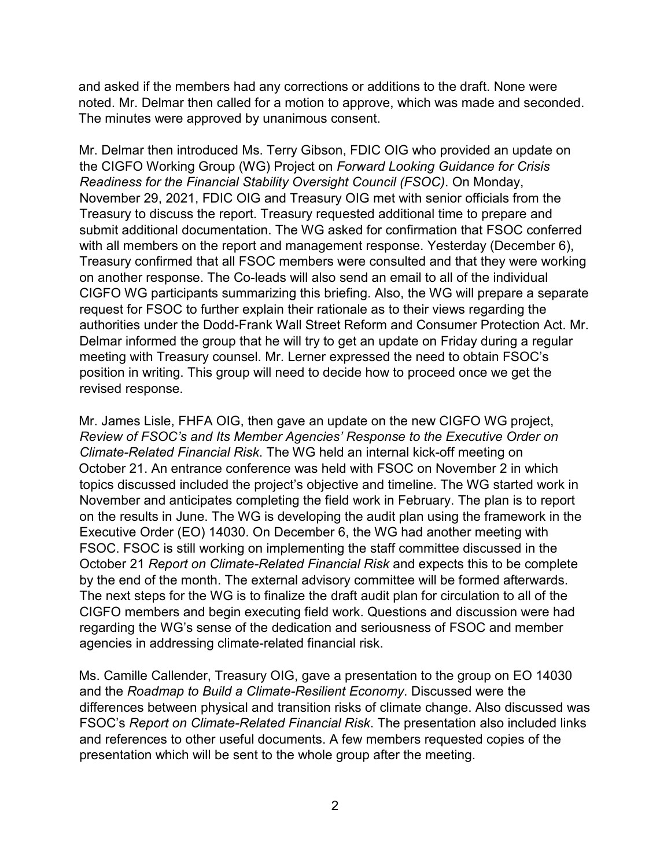and asked if the members had any corrections or additions to the draft. None were noted. Mr. Delmar then called for a motion to approve, which was made and seconded. The minutes were approved by unanimous consent.

Mr. Delmar then introduced Ms. Terry Gibson, FDIC OIG who provided an update on the CIGFO Working Group (WG) Project on *Forward Looking Guidance for Crisis Readiness for the Financial Stability Oversight Council (FSOC)*. On Monday, November 29, 2021, FDIC OIG and Treasury OIG met with senior officials from the Treasury to discuss the report. Treasury requested additional time to prepare and submit additional documentation. The WG asked for confirmation that FSOC conferred with all members on the report and management response. Yesterday (December 6), Treasury confirmed that all FSOC members were consulted and that they were working on another response. The Co-leads will also send an email to all of the individual CIGFO WG participants summarizing this briefing. Also, the WG will prepare a separate request for FSOC to further explain their rationale as to their views regarding the authorities under the Dodd-Frank Wall Street Reform and Consumer Protection Act. Mr. Delmar informed the group that he will try to get an update on Friday during a regular meeting with Treasury counsel. Mr. Lerner expressed the need to obtain FSOC's position in writing. This group will need to decide how to proceed once we get the revised response.

Mr. James Lisle, FHFA OIG, then gave an update on the new CIGFO WG project, *Review of FSOC's and Its Member Agencies' Response to the Executive Order on Climate-Related Financial Risk*. The WG held an internal kick-off meeting on October 21. An entrance conference was held with FSOC on November 2 in which topics discussed included the project's objective and timeline. The WG started work in November and anticipates completing the field work in February. The plan is to report on the results in June. The WG is developing the audit plan using the framework in the Executive Order (EO) 14030. On December 6, the WG had another meeting with FSOC. FSOC is still working on implementing the staff committee discussed in the October 21 *Report on Climate-Related Financial Risk* and expects this to be complete by the end of the month. The external advisory committee will be formed afterwards. The next steps for the WG is to finalize the draft audit plan for circulation to all of the CIGFO members and begin executing field work. Questions and discussion were had regarding the WG's sense of the dedication and seriousness of FSOC and member agencies in addressing climate-related financial risk.

Ms. Camille Callender, Treasury OIG, gave a presentation to the group on EO 14030 and the *Roadmap to Build a Climate-Resilient Economy*. Discussed were the differences between physical and transition risks of climate change. Also discussed was FSOC's *Report on Climate-Related Financial Risk*. The presentation also included links and references to other useful documents. A few members requested copies of the presentation which will be sent to the whole group after the meeting.